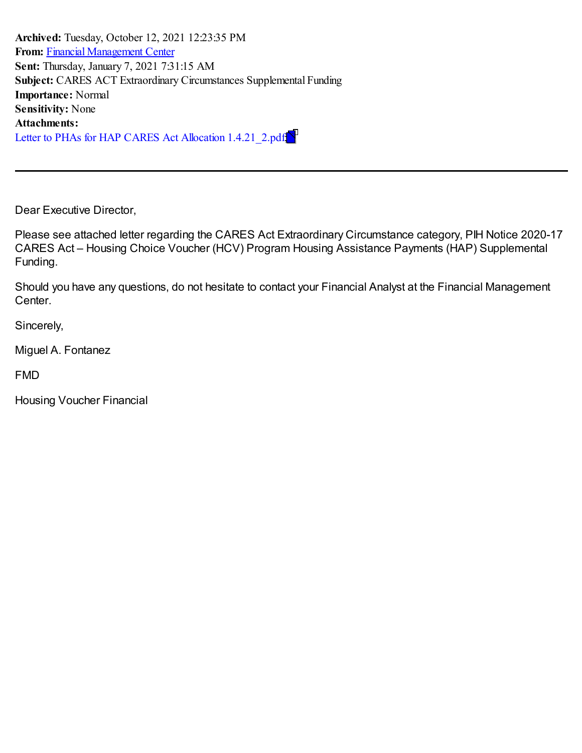**Archived:** Tuesday, October 12, 2021 12:23:35 PM **From:** Financial [Management](mailto:FinancialManagementCenter@hud.gov) Center **Sent:** Thursday, January 7, 2021 7:31:15 AM **Subject:** CARES ACT Extraordinary Circumstances Supplemental Funding **Importance:** Normal **Sensitivity:** None **Attachments:** Letter to PHAs for HAP CARES Act Allocation 1.4.21 2.pdf

Dear Executive Director,

Please see attached letter regarding the CARES Act Extraordinary Circumstance category, PIH Notice 2020-17 CARES Act – Housing Choice Voucher (HCV) Program Housing Assistance Payments (HAP) Supplemental Funding.

Should you have any questions, do not hesitate to contact your Financial Analyst at the Financial Management Center.

Sincerely,

Miguel A. Fontanez

FMD

Housing Voucher Financial